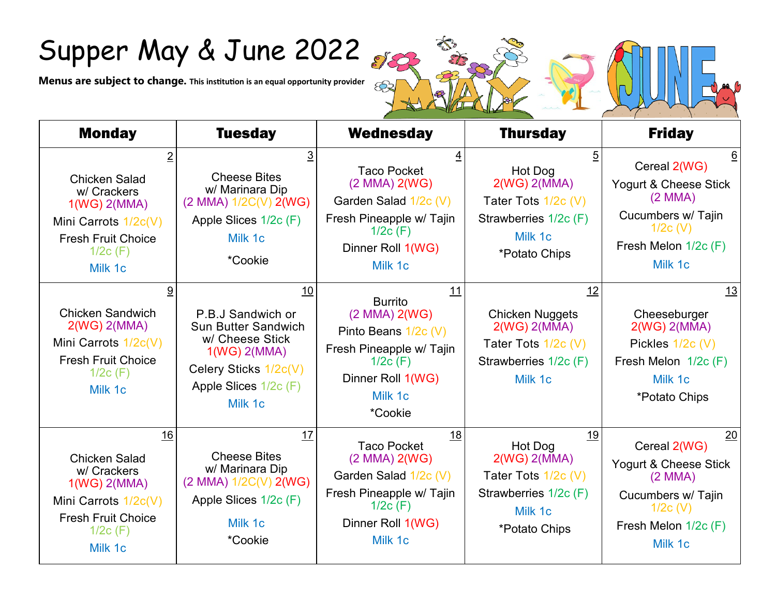## Supper May & June 2022

**Menus are subject to change. This institution is an equal opportunity provider** 

| <b>Monday</b>                                                                                                                               | <b>Tuesday</b>                                                                                                                                              | <b>Wednesday</b>                                                                                                                                        | <b>Thursday</b>                                                                                                    | <b>Friday</b>                                                                                                                       |
|---------------------------------------------------------------------------------------------------------------------------------------------|-------------------------------------------------------------------------------------------------------------------------------------------------------------|---------------------------------------------------------------------------------------------------------------------------------------------------------|--------------------------------------------------------------------------------------------------------------------|-------------------------------------------------------------------------------------------------------------------------------------|
| <b>Chicken Salad</b><br>w/ Crackers<br>$1(WG)$ $2(MMA)$<br>Mini Carrots 1/2c(V)<br><b>Fresh Fruit Choice</b><br>$1/2c$ (F)<br>Milk 1c       | 3<br><b>Cheese Bites</b><br>w/ Marinara Dip<br>$(2$ MMA) $1/2C(V)$ 2(WG)<br>Apple Slices 1/2c (F)<br>Milk 1c<br>*Cookie                                     | <b>Taco Pocket</b><br>$(2$ MMA $)$ 2(WG)<br>Garden Salad 1/2c (V)<br>Fresh Pineapple w/ Tajin<br>$1/2c$ (F)<br>Dinner Roll 1(WG)<br>Milk 1c             | 5<br>Hot Dog<br>2(WG) 2(MMA)<br>Tater Tots $1/2c$ (V)<br>Strawberries 1/2c (F)<br>Milk 1c<br>*Potato Chips         | 6<br>Cereal 2(WG)<br>Yogurt & Cheese Stick<br>$(2$ MMA $)$<br>Cucumbers w/ Tajin<br>$1/2c$ (V)<br>Fresh Melon $1/2c$ (F)<br>Milk 1c |
| 9<br><b>Chicken Sandwich</b><br>2(WG) 2(MMA)<br>Mini Carrots 1/2c(V)<br><b>Fresh Fruit Choice</b><br>$1/2c$ (F)<br>Milk 1c                  | 10<br>P.B.J Sandwich or<br><b>Sun Butter Sandwich</b><br>w/ Cheese Stick<br>$1(WG)$ $2(MMA)$<br>Celery Sticks 1/2c(V)<br>Apple Slices $1/2c$ (F)<br>Milk 1c | 11<br><b>Burrito</b><br>$(2$ MMA $)$ 2(WG)<br>Pinto Beans 1/2c (V)<br>Fresh Pineapple w/ Tajin<br>$1/2c$ (F)<br>Dinner Roll 1(WG)<br>Milk 1c<br>*Cookie | 12<br><b>Chicken Nuggets</b><br>2(WG) 2(MMA)<br>Tater Tots $1/2c$ (V)<br>Strawberries 1/2c (F)<br>Milk 1c          | 13<br>Cheeseburger<br>$2(WG)$ $2(MMA)$<br>Pickles 1/2c (V)<br>Fresh Melon 1/2c (F)<br>Milk 1c<br>*Potato Chips                      |
| 16<br><b>Chicken Salad</b><br>w/ Crackers<br>$1(WG)$ $2(MMA)$<br>Mini Carrots 1/2c(V)<br><b>Fresh Fruit Choice</b><br>$1/2c$ (F)<br>Milk 1c | 17<br><b>Cheese Bites</b><br>w/ Marinara Dip<br>(2 MMA) 1/2C(V) 2(WG)<br>Apple Slices 1/2c (F)<br>Milk 1c<br><i>*Cookie</i>                                 | 18<br><b>Taco Pocket</b><br>$(2$ MMA $)$ 2(WG)<br>Garden Salad 1/2c (V)<br>Fresh Pineapple w/ Tajin<br>$1/2c$ (F)<br>Dinner Roll 1(WG)<br>Milk 1c       | <u>19</u><br>Hot Dog<br>2(WG) 2(MMA)<br>Tater Tots $1/2c$ (V)<br>Strawberries 1/2c (F)<br>Milk 1c<br>*Potato Chips | 20<br>Cereal 2(WG)<br>Yogurt & Cheese Stick<br>$(2$ MMA $)$<br>Cucumbers w/ Tajin<br>$1/2c$ (V)<br>Fresh Melon 1/2c (F)<br>Milk 1c  |

ES

 $\frac{1}{2}$